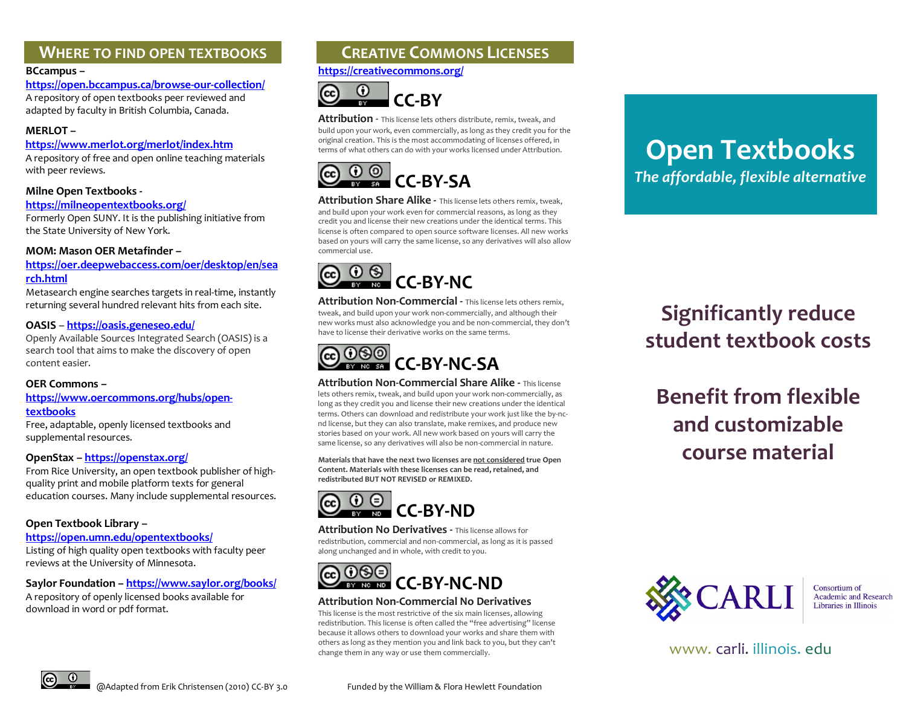# **WHERE TO FIND OPEN TEXTBOOKS**

### **BCcampus –**

**https://open.bccampus.ca/browse-our-collection/**

A repository of open textbooks peer reviewed and adapted by faculty in British Columbia, Canada.

## **MERLOT –**

### **<https://www.merlot.org/merlot/index.htm>**

A repository of free and open online teaching materials with peer reviews.

## **Milne Open Textbooks -**

#### **<https://milneopentextbooks.org/>**

Formerly Open SUNY. It is the publishing initiative from the State University of New York.

## **MOM: Mason OER Metafinder –**

## **https://oer.deepwebaccess.com/oer/desktop/en/sea rch.html**

Metasearch engine searches targets in real-time, instantly returning several hundred relevant hits from each site.

### **OASIS** – **<https://oasis.geneseo.edu/>**

Openly Available Sources Integrated Search (OASIS) is a search tool that aims to make the discovery of open content easier.

## **OER Commons –**

**[https://www.oercommons.org/hubs/open](https://www.oercommons.org/hubs/open-textbooks)[textbooks](https://www.oercommons.org/hubs/open-textbooks)**

Free, adaptable, openly licensed textbooks and supplemental resources.

## **OpenStax –<https://openstax.org/>**

From Rice University, an open textbook publisher of highquality print and mobile platform texts for general education courses. Many include supplemental resources.

## **Open Textbook Library –**

#### **<https://open.umn.edu/opentextbooks/>**

Listing of high quality open textbooks with faculty peer reviews at the University of Minnesota.

## **Saylor Foundation [– https://www.saylor.org/books/](https://www.saylor.org/books/)**

A repository of openly licensed books available for download in word or pdf format.

# **CREATIVE COMMONS LICENSES**

**<https://creativecommons.org/>**



**Attribution** - This license lets others distribute, remix, tweak, and build upon your work, even commercially, as long as they credit you for the original creation. This is the most accommodating of licenses offered, in terms of what others can do with your works licensed under Attribution.



**Attribution Share Alike -** This license lets others remix, tweak, and build upon your work even for commercial reasons, as long as they credit you and license their new creations under the identical terms. This license is often compared to open source software licenses. All new works based on yours will carry the same license, so any derivatives will also allow commercial use.



**Attribution Non-Commercial - This license lets others remix.** tweak, and build upon your work non-commercially, and although their new works must also acknowledge you and be non-commercial, they don't have to license their derivative works on the same terms.



**Attribution Non-Commercial Share Alike -** This license lets others remix, tweak, and build upon your work non-commercially, as long as they credit you and license their new creations under the identical terms. Others can download and redistribute your work just like the by-ncnd license, but they can also translate, make remixes, and produce new stories based on your work. All new work based on yours will carry the same license, so any derivatives will also be non-commercial in nature.

**Materials that have the next two licenses are not considered true Open Content. Materials with these licenses can be read, retained, and redistributed BUT NOT REVISED or REMIXED.** 



**Attribution No Derivatives -** This license allows for redistribution, commercial and non-commercial, as long as it is passed along unchanged and in whole, with credit to you.



## **Attribution Non-Commercial No Derivatives**

This license is the most restrictive of the six main licenses, allowing redistribution. This license is often called the "free advertising" license because it allows others to download your works and share them with others as long as they mention you and link back to you, but they can't change them in any way or use them commercially.

# **Open Textbooks** *The affordable, flexible alternative*

**Significantly reduce student textbook costs** 

**Benefit from flexible and customizable course material**



Consortium of Academic and Research Libraries in Illinois

[www. carli. illinois. edu](http://www.carli.illinois.edu/)